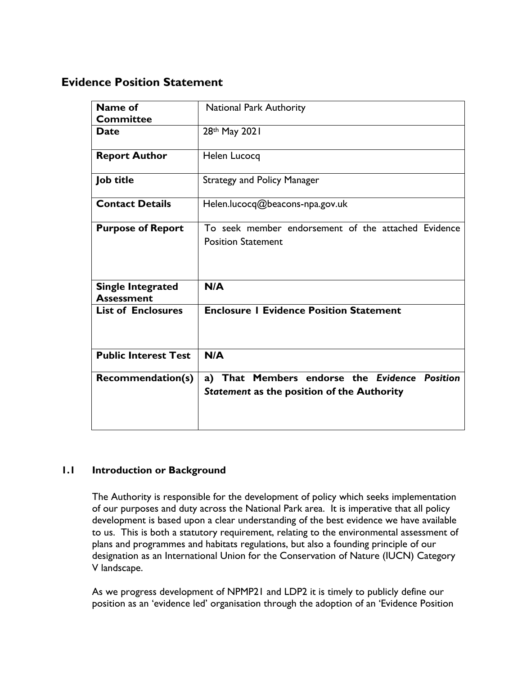# **Evidence Position Statement**

| Name of<br><b>Committee</b>                   | <b>National Park Authority</b>                                                              |
|-----------------------------------------------|---------------------------------------------------------------------------------------------|
| <b>Date</b>                                   | 28th May 2021                                                                               |
| <b>Report Author</b>                          | Helen Lucocq                                                                                |
| <b>Job title</b>                              | <b>Strategy and Policy Manager</b>                                                          |
| <b>Contact Details</b>                        | Helen.lucocq@beacons-npa.gov.uk                                                             |
| <b>Purpose of Report</b>                      | To seek member endorsement of the attached Evidence<br><b>Position Statement</b>            |
| <b>Single Integrated</b><br><b>Assessment</b> | N/A                                                                                         |
| <b>List of Enclosures</b>                     | <b>Enclosure I Evidence Position Statement</b>                                              |
| <b>Public Interest Test</b>                   | N/A                                                                                         |
| <b>Recommendation(s)</b>                      | a) That Members endorse the Evidence Position<br>Statement as the position of the Authority |

# **1.1 Introduction or Background**

The Authority is responsible for the development of policy which seeks implementation of our purposes and duty across the National Park area. It is imperative that all policy development is based upon a clear understanding of the best evidence we have available to us. This is both a statutory requirement, relating to the environmental assessment of plans and programmes and habitats regulations, but also a founding principle of our designation as an International Union for the Conservation of Nature (IUCN) Category V landscape.

As we progress development of NPMP21 and LDP2 it is timely to publicly define our position as an 'evidence led' organisation through the adoption of an 'Evidence Position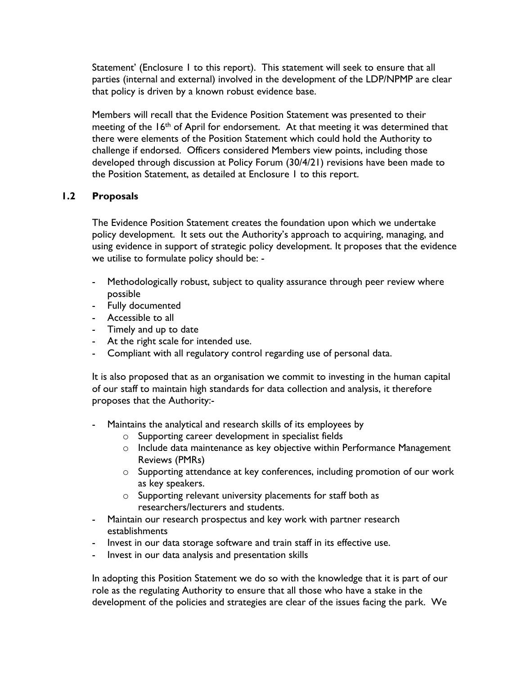Statement' (Enclosure I to this report). This statement will seek to ensure that all parties (internal and external) involved in the development of the LDP/NPMP are clear that policy is driven by a known robust evidence base.

Members will recall that the Evidence Position Statement was presented to their meeting of the 16<sup>th</sup> of April for endorsement. At that meeting it was determined that there were elements of the Position Statement which could hold the Authority to challenge if endorsed. Officers considered Members view points, including those developed through discussion at Policy Forum (30/4/21) revisions have been made to the Position Statement, as detailed at Enclosure 1 to this report.

# **1.2 Proposals**

The Evidence Position Statement creates the foundation upon which we undertake policy development. It sets out the Authority's approach to acquiring, managing, and using evidence in support of strategic policy development. It proposes that the evidence we utilise to formulate policy should be: -

- Methodologically robust, subject to quality assurance through peer review where possible
- Fully documented
- Accessible to all
- Timely and up to date
- At the right scale for intended use.
- Compliant with all regulatory control regarding use of personal data.

It is also proposed that as an organisation we commit to investing in the human capital of our staff to maintain high standards for data collection and analysis, it therefore proposes that the Authority:-

- Maintains the analytical and research skills of its employees by
	- o Supporting career development in specialist fields
	- o Include data maintenance as key objective within Performance Management Reviews (PMRs)
	- o Supporting attendance at key conferences, including promotion of our work as key speakers.
	- o Supporting relevant university placements for staff both as researchers/lecturers and students.
- Maintain our research prospectus and key work with partner research establishments
- Invest in our data storage software and train staff in its effective use.
- Invest in our data analysis and presentation skills

In adopting this Position Statement we do so with the knowledge that it is part of our role as the regulating Authority to ensure that all those who have a stake in the development of the policies and strategies are clear of the issues facing the park. We